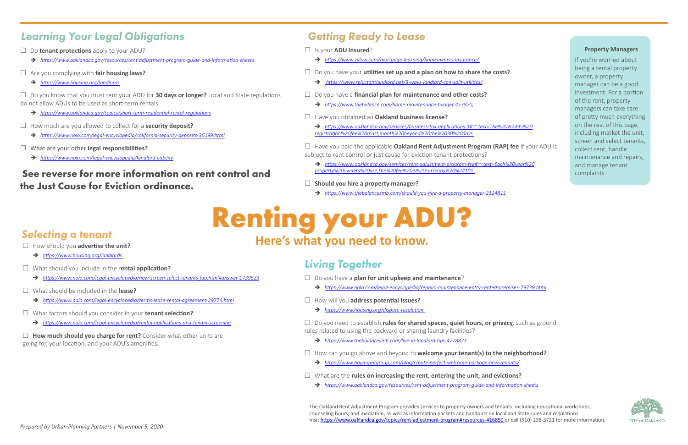### *Learning Your Legal Obligations*

## *Living Together*

## *Getting Ready to Lease*

Is your **ADU insured**?

- Î *[https://www.zillow.com/mortgage-learning/homeowners-insurance/](https://www.zillow.com/mortgage-learning/homeowners-insurance/  )*
- Do you have your **utilities set up and a plan on how to share the costs?**
	- Î *[https://www.reluctantlandlord.net/3-ways-landlord-can-split-utilities/]( https://www.reluctantlandlord.net/3-ways-landlord-can-split-utilities/ )*
- Do you have a **financial plan for maintenance and other costs?**
	- Î *[https://www.thebalance.com/home-maintenance-budget-453820,](https://www.thebalance.com/home-maintenance-budget-453820,  )*

### Have you obtained an **Oakland business license?**

Î *[https://www.oaklandca.gov/services/business-tax-applications-1#:~:text=The%20%2495%20](https://www.oaklandca.gov/services/business-tax-applications-1#:~:text=The%20%2495%20registration%20fee%20must,month%20beyond%20the%2030%20days.) [registration%20fee%20must,month%20beyond%20the%2030%20days.](https://www.oaklandca.gov/services/business-tax-applications-1#:~:text=The%20%2495%20registration%20fee%20must,month%20beyond%20the%2030%20days.)*

- □ Do **tenant protections** apply to your ADU?
	- Î *[https://www.oaklandca.gov/resources/rent-adjustment-program-guide-and-information-sheets](https://www.oaklandca.gov/resources/rent-adjustment-program-guide-and-information-sheets )*
- Are you complying with **fair housing laws?** 
	- Î *[https://www.housing.org/landlords](https://www.housing.org/landlords )*

- Î *[https://www.oaklandca.gov/topics/short-term-residential-rental-regulations](https://www.oaklandca.gov/topics/short-term-residential-rental-regulations )*
- How much are you allowed to collect for a **security deposit?** 
	- Î *[https://www.nolo.com/legal-encyclopedia/california-security-deposits-36199.html](https://www.nolo.com/legal-encyclopedia/california-security-deposits-36199.html )*
- What are your other **legal responsibilities?** 
	- $\rightarrow$  [https://www.nolo.com/legal-encyclopedia/landlord-liability](https://www.nolo.com/legal-encyclopedia/landlord-liability )
- Have you paid the applicable **Oakland Rent Adjustment Program (RAP) fee** if your ADU is subject to rent control or just cause for eviction tenant protections?
	- Î *[https://www.oaklandca.gov/services/rent-adjustment-program-fee#:~:text=Each%20year%20](https://www.oaklandca.gov/services/rent-adjustment-program-fee#:~:text=Each%20year%20property%20owners%20are,The%20fee%20is%20currently%20%24101. ) [property%20owners%20are,The%20fee%20is%20currently%20%24101.](https://www.oaklandca.gov/services/rent-adjustment-program-fee#:~:text=Each%20year%20property%20owners%20are,The%20fee%20is%20currently%20%24101. )*
- **Should you hire a property manager?**
	- Î *<https://www.thebalancesmb.com/should-you-hire-a-property-manager-2124811>*

- Do you have a **plan for unit upkeep and maintenance**?
- Î *[https://www.nolo.com/legal-encyclopedia/repairs-maintenance-entry-rented-premises-29739.html](https://www.nolo.com/legal-encyclopedia/repairs-maintenance-entry-rented-premises-29739.html )*
- How will you **address potential issues?**
	- $\rightarrow$  https://www.housing.org/dispute-resolution

 Do you know that you must rent your ADU for **30 days or longer?** Local and State regulations do not allow ADUs to be used as short-term rentals.

- □ How should you **advertise the unit?** 
	- Î *[https://www.housing.org/landlords](https://www.housing.org/landlords  )*
- What should you include in the r**ental application?**
	- Î *[https://www.nolo.com/legal-encyclopedia/how-screen-select-tenants-faq.html#answer-1739523](https://www.nolo.com/legal-encyclopedia/how-screen-select-tenants-faq.html#answer-1739523 )*
- What should be included in the **lease?** 
	- Î *[https://www.nolo.com/legal-encyclopedia/terms-lease-rental-agreement-29776.html](https://www.nolo.com/legal-encyclopedia/terms-lease-rental-agreement-29776.html )*
- What factors should you consider in your **tenant selection?** 
	- Î *[https://www.nolo.com/legal-encyclopedia/rental-applications-and-tenant-screening](https://www.nolo.com/legal-encyclopedia/rental-applications-and-tenant-screening )*

 Do you need to establish **rules for shared spaces, quiet hours, or privacy,** such as ground rules related to using the backyard or sharing laundry facilities?

- Î *[https://www.thebalancesmb.com/live-in-landlord-tips-4778873](https://www.thebalancesmb.com/live-in-landlord-tips-4778873 )*
- How can you go above and beyond to **welcome your tenant(s) to the neighborhood?** 
	- Î *[https://www.baymgmtgroup.com/blog/create-perfect-welcome-package-new-tenants/](https://www.baymgmtgroup.com/blog/create-perfect-welcome-package-new-tenants/ )*
- What are the **rules on increasing the rent, entering the unit, and evictions?**
	- Î *[https://www.oaklandca.gov/resources/rent-adjustment-program-guide-and-information-sheets](https://www.oaklandca.gov/resources/rent-adjustment-program-guide-and-information-sheets )*

# **Renting your ADU? Here's what you need to know.** *Selecting a tenant*

 **How much should you charge for rent?** Consider what other units are going for, your location, and your ADU's amenities**.**

### **See reverse for more information on rent control and the Just Cause for Eviction ordinance.**

### **Property Managers**

If you're worried about being a rental property owner, a property manager can be a good investment. For a portion of the rent, property managers can take care of pretty much everything on the rest of this page, including market the unit, screen and select tenants, collect rent, handle maintenance and repairs, and manage tenant complaints.



The Oakland Rent Adjustment Program provides services to property owners and tenants, including educational workshops, counseling hours, and mediation, as well as information packets and handouts on local and State rules and regulations. Visit [https://www.oaklandca.gov/topics/rent-adjustment-program#resources-416850 o](https://www.oaklandca.gov/topics/rent-adjustment-program#resources-416850 )r call (510) 238-3721 for more information.